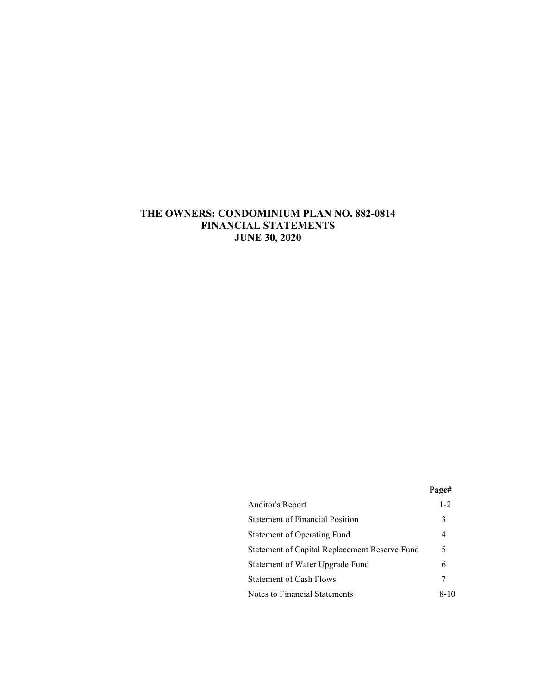# **THE OWNERS: CONDOMINIUM PLAN NO. 882-0814 FINANCIAL STATEMENTS JUNE 30, 2020**

|                                               | Page#   |
|-----------------------------------------------|---------|
| Auditor's Report                              | $1 - 2$ |
| <b>Statement of Financial Position</b>        | 3       |
| Statement of Operating Fund                   | 4       |
| Statement of Capital Replacement Reserve Fund | 5       |
| Statement of Water Upgrade Fund               | 6       |
| <b>Statement of Cash Flows</b>                |         |
| Notes to Financial Statements                 | 8-10    |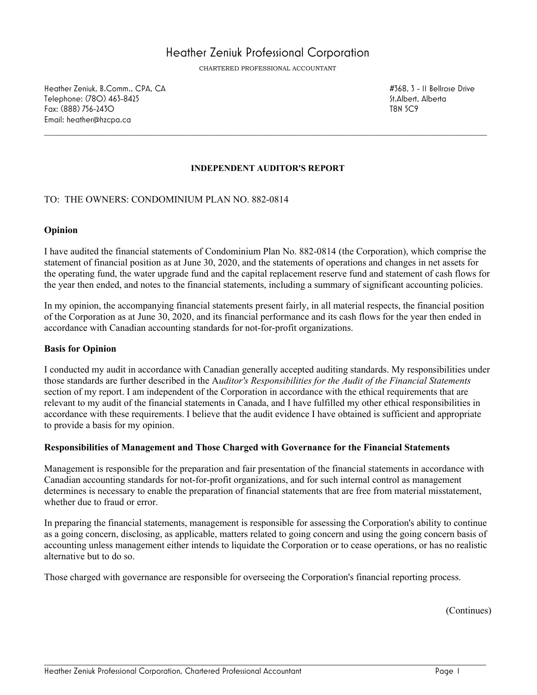# Heather Zeniuk Professional Corporation

CHARTERED PROFESSIONAL ACCOUNTANT

Heather Zeniuk, B.Comm., CPA, CA #368, 3 - 11 Bellrose Drive Telephone: (780) 463-8425 St.Alberta and the state of the state of the state of the St.Alberta and St.Alberta and St.Alberta and St.Alberta and St.Alberta and St.Alberta and St.Alberta and St.Alberta and St.Alberta and St. Fax: (888) 756-2430 T8N 5C9 Email: heather@hzcpa.ca

#### **INDEPENDENT AUDITOR'S REPORT**

 $\mathcal{L}_\mathcal{L} = \mathcal{L}_\mathcal{L} = \mathcal{L}_\mathcal{L} = \mathcal{L}_\mathcal{L} = \mathcal{L}_\mathcal{L} = \mathcal{L}_\mathcal{L} = \mathcal{L}_\mathcal{L} = \mathcal{L}_\mathcal{L} = \mathcal{L}_\mathcal{L} = \mathcal{L}_\mathcal{L} = \mathcal{L}_\mathcal{L} = \mathcal{L}_\mathcal{L} = \mathcal{L}_\mathcal{L} = \mathcal{L}_\mathcal{L} = \mathcal{L}_\mathcal{L} = \mathcal{L}_\mathcal{L} = \mathcal{L}_\mathcal{L}$ 

#### TO: THE OWNERS: CONDOMINIUM PLAN NO. 882-0814

#### **Opinion**

I have audited the financial statements of Condominium Plan No. 882-0814 (the Corporation), which comprise the statement of financial position as at June 30, 2020, and the statements of operations and changes in net assets for the operating fund, the water upgrade fund and the capital replacement reserve fund and statement of cash flows for the year then ended, and notes to the financial statements, including a summary of significant accounting policies.

In my opinion, the accompanying financial statements present fairly, in all material respects, the financial position of the Corporation as at June 30, 2020, and its financial performance and its cash flows for the year then ended in accordance with Canadian accounting standards for not-for-profit organizations.

#### **Basis for Opinion**

I conducted my audit in accordance with Canadian generally accepted auditing standards. My responsibilities under those standards are further described in the A*uditor's Responsibilities for the Audit of the Financial Statements* section of my report. I am independent of the Corporation in accordance with the ethical requirements that are relevant to my audit of the financial statements in Canada, and I have fulfilled my other ethical responsibilities in accordance with these requirements. I believe that the audit evidence I have obtained is sufficient and appropriate to provide a basis for my opinion.

#### **Responsibilities of Management and Those Charged with Governance for the Financial Statements**

Management is responsible for the preparation and fair presentation of the financial statements in accordance with Canadian accounting standards for not-for-profit organizations, and for such internal control as management determines is necessary to enable the preparation of financial statements that are free from material misstatement, whether due to fraud or error.

In preparing the financial statements, management is responsible for assessing the Corporation's ability to continue as a going concern, disclosing, as applicable, matters related to going concern and using the going concern basis of accounting unless management either intends to liquidate the Corporation or to cease operations, or has no realistic alternative but to do so.

Those charged with governance are responsible for overseeing the Corporation's financial reporting process.

(Continues)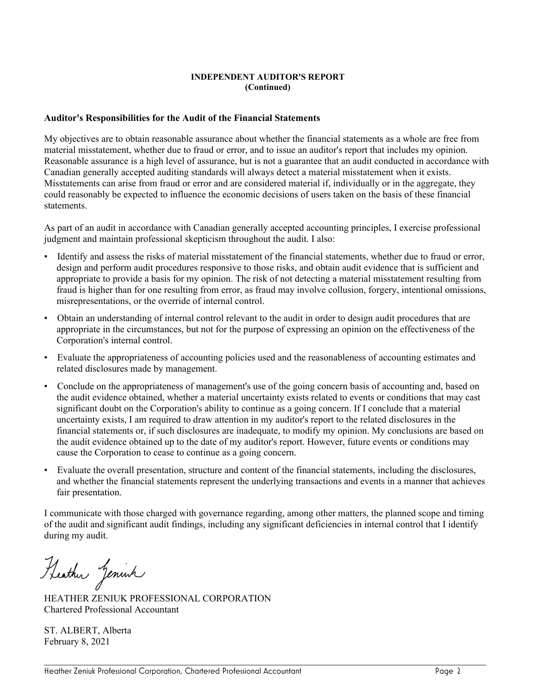#### **INDEPENDENT AUDITOR'S REPORT (Continued)**

#### **Auditor's Responsibilities for the Audit of the Financial Statements**

My objectives are to obtain reasonable assurance about whether the financial statements as a whole are free from material misstatement, whether due to fraud or error, and to issue an auditor's report that includes my opinion. Reasonable assurance is a high level of assurance, but is not a guarantee that an audit conducted in accordance with Canadian generally accepted auditing standards will always detect a material misstatement when it exists. Misstatements can arise from fraud or error and are considered material if, individually or in the aggregate, they could reasonably be expected to influence the economic decisions of users taken on the basis of these financial statements.

As part of an audit in accordance with Canadian generally accepted accounting principles, I exercise professional judgment and maintain professional skepticism throughout the audit. I also:

- Identify and assess the risks of material misstatement of the financial statements, whether due to fraud or error, design and perform audit procedures responsive to those risks, and obtain audit evidence that is sufficient and appropriate to provide a basis for my opinion. The risk of not detecting a material misstatement resulting from fraud is higher than for one resulting from error, as fraud may involve collusion, forgery, intentional omissions, misrepresentations, or the override of internal control.
- Obtain an understanding of internal control relevant to the audit in order to design audit procedures that are appropriate in the circumstances, but not for the purpose of expressing an opinion on the effectiveness of the Corporation's internal control.
- Evaluate the appropriateness of accounting policies used and the reasonableness of accounting estimates and related disclosures made by management.
- Conclude on the appropriateness of management's use of the going concern basis of accounting and, based on the audit evidence obtained, whether a material uncertainty exists related to events or conditions that may cast significant doubt on the Corporation's ability to continue as a going concern. If I conclude that a material uncertainty exists, I am required to draw attention in my auditor's report to the related disclosures in the financial statements or, if such disclosures are inadequate, to modify my opinion. My conclusions are based on the audit evidence obtained up to the date of my auditor's report. However, future events or conditions may cause the Corporation to cease to continue as a going concern.
- Evaluate the overall presentation, structure and content of the financial statements, including the disclosures, and whether the financial statements represent the underlying transactions and events in a manner that achieves fair presentation.

I communicate with those charged with governance regarding, among other matters, the planned scope and timing of the audit and significant audit findings, including any significant deficiencies in internal control that I identify during my audit.

Heather Jenish

HEATHER ZENIUK PROFESSIONAL CORPORATION Chartered Professional Accountant

ST. ALBERT, Alberta February 8, 2021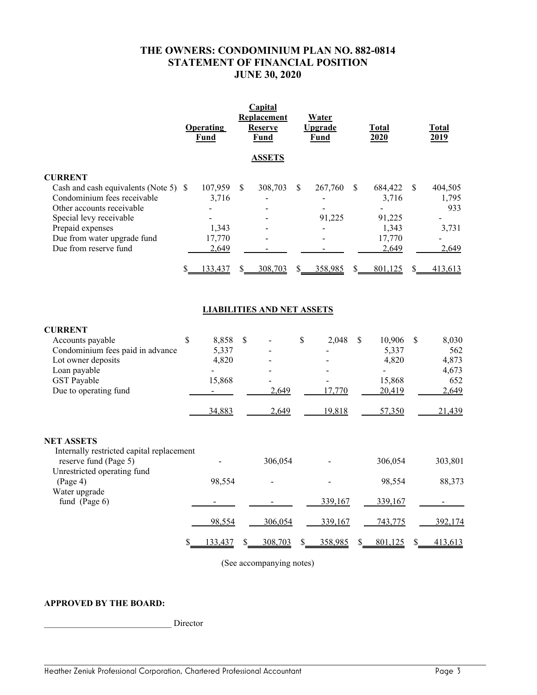### **THE OWNERS: CONDOMINIUM PLAN NO. 882-0814 STATEMENT OF FINANCIAL POSITION JUNE 30, 2020**

|                                       | <b>Operating</b><br>Fund |          | Capital<br>Replacement<br><b>Reserve</b><br>Fund |   |         |          | <b>Total</b><br>2020 |    | <b>Total</b><br>2019 |
|---------------------------------------|--------------------------|----------|--------------------------------------------------|---|---------|----------|----------------------|----|----------------------|
|                                       |                          |          | <b>ASSETS</b>                                    |   |         |          |                      |    |                      |
| <b>CURRENT</b>                        |                          |          |                                                  |   |         |          |                      |    |                      |
| Cash and cash equivalents (Note 5) \$ | 107,959                  | <b>S</b> | 308,703                                          | S | 267,760 | <b>S</b> | 684,422              | -S | 404,505              |
| Condominium fees receivable           | 3.716                    |          |                                                  |   |         |          | 3.716                |    | 1,795                |
| Other accounts receivable             |                          |          |                                                  |   |         |          |                      |    | 933                  |
| Special levy receivable               |                          |          |                                                  |   | 91,225  |          | 91,225               |    |                      |
| Prepaid expenses                      | 1,343                    |          |                                                  |   |         |          | 1,343                |    | 3,731                |
| Due from water upgrade fund           | 17,770                   |          |                                                  |   |         |          | 17,770               |    |                      |
| Due from reserve fund                 | 2,649                    |          |                                                  |   |         |          | 2,649                |    | 2,649                |
|                                       | 133,437                  |          | 308,703                                          | S | 358,985 |          | 801,125              | S  | 413,613              |

### **LIABILITIES AND NET ASSETS**

| <b>CURRENT</b>                                                     |               |               |         |    |         |    |         |    |         |
|--------------------------------------------------------------------|---------------|---------------|---------|----|---------|----|---------|----|---------|
| Accounts payable                                                   | \$<br>8,858   | <sup>\$</sup> |         | \$ | 2,048   | \$ | 10,906  | \$ | 8,030   |
| Condominium fees paid in advance                                   | 5,337         |               |         |    |         |    | 5,337   |    | 562     |
| Lot owner deposits                                                 | 4,820         |               |         |    |         |    | 4,820   |    | 4,873   |
| Loan payable                                                       |               |               |         |    |         |    |         |    | 4,673   |
| <b>GST</b> Payable                                                 | 15,868        |               |         |    |         |    | 15,868  |    | 652     |
| Due to operating fund                                              |               |               | 2,649   |    | 17,770  |    | 20,419  |    | 2,649   |
|                                                                    | 34,883        |               | 2,649   |    | 19,818  |    | 57,350  |    | 21,439  |
| <b>NET ASSETS</b>                                                  |               |               |         |    |         |    |         |    |         |
| Internally restricted capital replacement<br>reserve fund (Page 5) |               |               | 306,054 |    |         |    | 306,054 |    | 303,801 |
| Unrestricted operating fund                                        |               |               |         |    |         |    |         |    |         |
| (Page 4)                                                           | 98,554        |               |         |    |         |    | 98,554  |    | 88,373  |
| Water upgrade                                                      |               |               |         |    |         |    |         |    |         |
| fund (Page 6)                                                      |               |               |         |    | 339,167 |    | 339,167 |    |         |
|                                                                    | 98,554        |               | 306,054 |    | 339,167 |    | 743,775 |    | 392,174 |
|                                                                    | \$<br>133,437 | S.            | 308,703 | S  | 358,985 | S  | 801,125 | S  | 413,613 |

(See accompanying notes)

#### **APPROVED BY THE BOARD:**

Director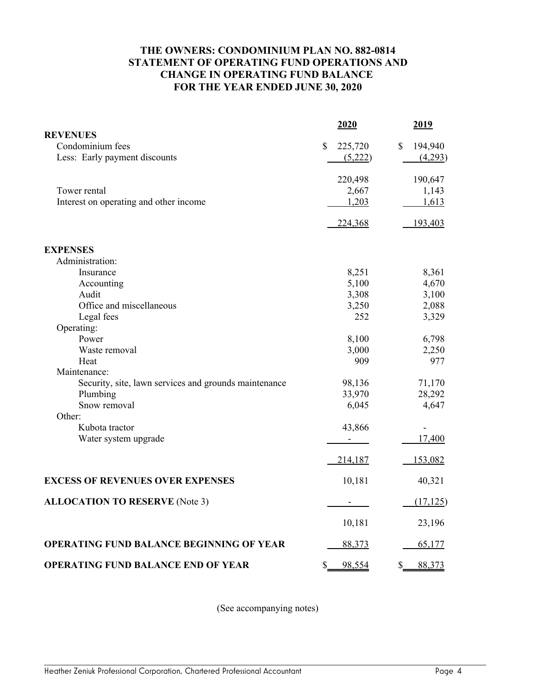# **THE OWNERS: CONDOMINIUM PLAN NO. 882-0814 STATEMENT OF OPERATING FUND OPERATIONS AND CHANGE IN OPERATING FUND BALANCE FOR THE YEAR ENDED JUNE 30, 2020**

|                                                       | 2020          | 2019                    |
|-------------------------------------------------------|---------------|-------------------------|
| <b>REVENUES</b>                                       |               |                         |
| Condominium fees                                      | \$<br>225,720 | $\mathbb{S}$<br>194,940 |
| Less: Early payment discounts                         | (5,222)       | (4,293)                 |
|                                                       | 220,498       | 190,647                 |
| Tower rental                                          | 2,667         | 1,143                   |
| Interest on operating and other income                | 1,203         | 1,613                   |
|                                                       | 224,368       | 193,403                 |
| <b>EXPENSES</b>                                       |               |                         |
| Administration:                                       |               |                         |
| Insurance                                             | 8,251         | 8,361                   |
| Accounting                                            | 5,100         | 4,670                   |
| Audit                                                 | 3,308         | 3,100                   |
| Office and miscellaneous                              | 3,250         | 2,088                   |
| Legal fees                                            | 252           | 3,329                   |
| Operating:                                            |               |                         |
| Power                                                 | 8,100         | 6,798                   |
| Waste removal                                         | 3,000         | 2,250                   |
| Heat                                                  | 909           | 977                     |
| Maintenance:                                          |               |                         |
| Security, site, lawn services and grounds maintenance | 98,136        | 71,170                  |
| Plumbing                                              | 33,970        | 28,292                  |
| Snow removal                                          | 6,045         | 4,647                   |
| Other:                                                |               |                         |
| Kubota tractor                                        | 43,866        |                         |
| Water system upgrade                                  | $\sim$        | 17,400                  |
|                                                       | 214,187       | 153,082                 |
| <b>EXCESS OF REVENUES OVER EXPENSES</b>               | 10,181        | 40,321                  |
| <b>ALLOCATION TO RESERVE (Note 3)</b>                 | $\sim$        | (17, 125)               |
|                                                       | 10,181        | 23,196                  |
| <b>OPERATING FUND BALANCE BEGINNING OF YEAR</b>       | 88,373        | 65,177                  |
| <b>OPERATING FUND BALANCE END OF YEAR</b>             | \$<br>98,554  | \$<br>88,373            |

(See accompanying notes)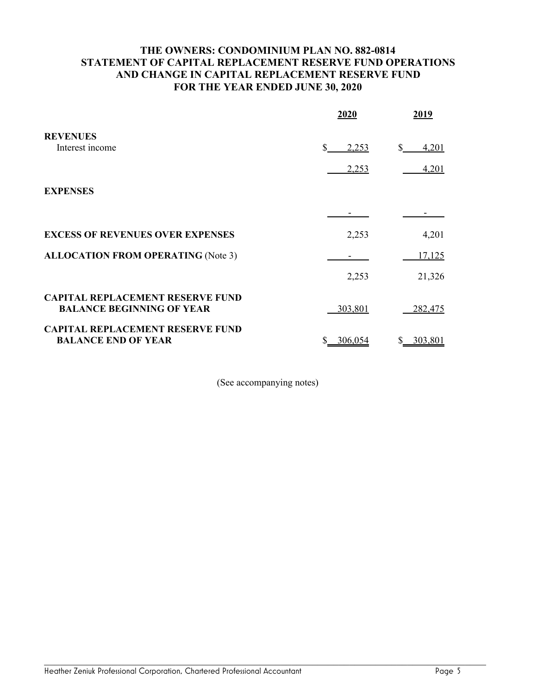# **THE OWNERS: CONDOMINIUM PLAN NO. 882-0814 STATEMENT OF CAPITAL REPLACEMENT RESERVE FUND OPERATIONS AND CHANGE IN CAPITAL REPLACEMENT RESERVE FUND FOR THE YEAR ENDED JUNE 30, 2020**

|                                                                             | 2020        | 2019        |
|-----------------------------------------------------------------------------|-------------|-------------|
| <b>REVENUES</b><br>Interest income                                          | \$<br>2,253 | \$<br>4,201 |
|                                                                             | 2,253       | 4,201       |
| <b>EXPENSES</b>                                                             |             |             |
|                                                                             |             |             |
| <b>EXCESS OF REVENUES OVER EXPENSES</b>                                     | 2,253       | 4,201       |
| <b>ALLOCATION FROM OPERATING (Note 3)</b>                                   |             | 17,125      |
|                                                                             | 2,253       | 21,326      |
| <b>CAPITAL REPLACEMENT RESERVE FUND</b><br><b>BALANCE BEGINNING OF YEAR</b> | 303,801     | 282,475     |
| <b>CAPITAL REPLACEMENT RESERVE FUND</b><br><b>BALANCE END OF YEAR</b>       | 306,054     | 303,801     |

(See accompanying notes)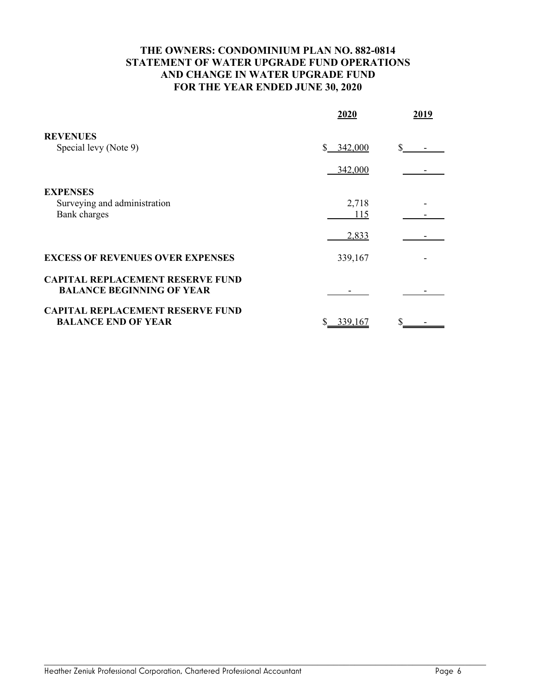# **THE OWNERS: CONDOMINIUM PLAN NO. 882-0814 STATEMENT OF WATER UPGRADE FUND OPERATIONS AND CHANGE IN WATER UPGRADE FUND FOR THE YEAR ENDED JUNE 30, 2020**

|                                                                             | 2020          | 2019 |
|-----------------------------------------------------------------------------|---------------|------|
| <b>REVENUES</b><br>Special levy (Note 9)                                    | 342,000<br>S. | ς    |
|                                                                             | 342,000       |      |
| <b>EXPENSES</b>                                                             |               |      |
| Surveying and administration<br><b>Bank</b> charges                         | 2,718<br>115  |      |
|                                                                             | 2,833         |      |
| <b>EXCESS OF REVENUES OVER EXPENSES</b>                                     | 339,167       |      |
| <b>CAPITAL REPLACEMENT RESERVE FUND</b><br><b>BALANCE BEGINNING OF YEAR</b> |               |      |
| <b>CAPITAL REPLACEMENT RESERVE FUND</b><br><b>BALANCE END OF YEAR</b>       | 339,167       |      |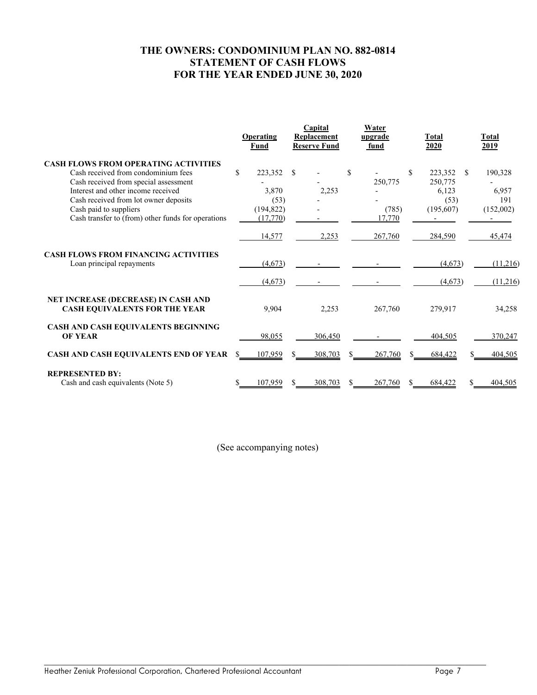# **THE OWNERS: CONDOMINIUM PLAN NO. 882-0814 STATEMENT OF CASH FLOWS FOR THE YEAR ENDED JUNE 30, 2020**

|                                                                                                                                                                                                                                                                                            |               | Operating<br>Fund                                            |               | Capital<br>Replacement<br><b>Reserve Fund</b> |    | Water<br>upgrade<br>fund              |    | <b>Total</b><br>2020                                                | <b>Total</b><br>2019                           |
|--------------------------------------------------------------------------------------------------------------------------------------------------------------------------------------------------------------------------------------------------------------------------------------------|---------------|--------------------------------------------------------------|---------------|-----------------------------------------------|----|---------------------------------------|----|---------------------------------------------------------------------|------------------------------------------------|
| <b>CASH FLOWS FROM OPERATING ACTIVITIES</b><br>Cash received from condominium fees<br>Cash received from special assessment<br>Interest and other income received<br>Cash received from lot owner deposits<br>Cash paid to suppliers<br>Cash transfer to (from) other funds for operations | <sup>\$</sup> | 223,352<br>3,870<br>(53)<br>(194, 822)<br>(17,770)<br>14,577 | <sup>\$</sup> | 2.253<br>2,253                                | \$ | 250,775<br>(785)<br>17,770<br>267,760 | \$ | 223,352<br>\$.<br>250,775<br>6,123<br>(53)<br>(195, 607)<br>284,590 | 190,328<br>6,957<br>191<br>(152,002)<br>45,474 |
| <b>CASH FLOWS FROM FINANCING ACTIVITIES</b><br>Loan principal repayments                                                                                                                                                                                                                   |               | (4,673)<br>(4,673)                                           |               |                                               |    |                                       |    | (4,673)<br>(4,673)                                                  | (11,216)<br>(11,216)                           |
| NET INCREASE (DECREASE) IN CASH AND<br><b>CASH EQUIVALENTS FOR THE YEAR</b>                                                                                                                                                                                                                |               | 9,904                                                        |               | 2,253                                         |    | 267,760                               |    | 279,917                                                             | 34,258                                         |
| CASH AND CASH EQUIVALENTS BEGINNING<br><b>OF YEAR</b>                                                                                                                                                                                                                                      |               | 98,055                                                       |               | 306,450                                       |    |                                       |    | 404,505                                                             | 370,247                                        |
| CASH AND CASH EQUIVALENTS END OF YEAR                                                                                                                                                                                                                                                      |               | 107,959                                                      |               | 308,703                                       |    | 267,760                               |    | 684,422                                                             | 404,505                                        |
| <b>REPRESENTED BY:</b><br>Cash and cash equivalents (Note 5)                                                                                                                                                                                                                               |               | 107,959                                                      |               | 308,703                                       | S. | 267,760                               | S. | 684,422                                                             | 404,505                                        |

(See accompanying notes)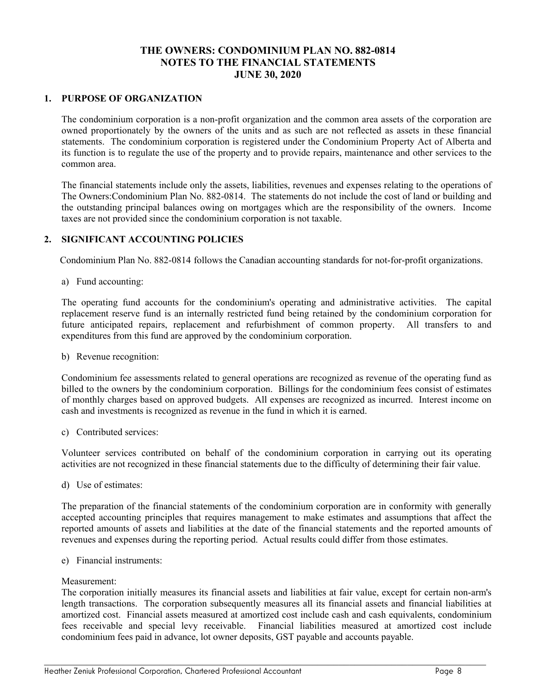# **THE OWNERS: CONDOMINIUM PLAN NO. 882-0814 NOTES TO THE FINANCIAL STATEMENTS JUNE 30, 2020**

### **1. PURPOSE OF ORGANIZATION**

The condominium corporation is a non-profit organization and the common area assets of the corporation are owned proportionately by the owners of the units and as such are not reflected as assets in these financial statements. The condominium corporation is registered under the Condominium Property Act of Alberta and its function is to regulate the use of the property and to provide repairs, maintenance and other services to the common area.

The financial statements include only the assets, liabilities, revenues and expenses relating to the operations of The Owners:Condominium Plan No. 882-0814. The statements do not include the cost of land or building and the outstanding principal balances owing on mortgages which are the responsibility of the owners. Income taxes are not provided since the condominium corporation is not taxable.

#### **2. SIGNIFICANT ACCOUNTING POLICIES**

Condominium Plan No. 882-0814 follows the Canadian accounting standards for not-for-profit organizations.

a) Fund accounting:

The operating fund accounts for the condominium's operating and administrative activities. The capital replacement reserve fund is an internally restricted fund being retained by the condominium corporation for future anticipated repairs, replacement and refurbishment of common property. All transfers to and expenditures from this fund are approved by the condominium corporation.

#### b) Revenue recognition:

Condominium fee assessments related to general operations are recognized as revenue of the operating fund as billed to the owners by the condominium corporation. Billings for the condominium fees consist of estimates of monthly charges based on approved budgets. All expenses are recognized as incurred. Interest income on cash and investments is recognized as revenue in the fund in which it is earned.

c) Contributed services:

Volunteer services contributed on behalf of the condominium corporation in carrying out its operating activities are not recognized in these financial statements due to the difficulty of determining their fair value.

d) Use of estimates:

The preparation of the financial statements of the condominium corporation are in conformity with generally accepted accounting principles that requires management to make estimates and assumptions that affect the reported amounts of assets and liabilities at the date of the financial statements and the reported amounts of revenues and expenses during the reporting period. Actual results could differ from those estimates.

e) Financial instruments:

#### Measurement:

The corporation initially measures its financial assets and liabilities at fair value, except for certain non-arm's length transactions. The corporation subsequently measures all its financial assets and financial liabilities at amortized cost. Financial assets measured at amortized cost include cash and cash equivalents, condominium fees receivable and special levy receivable. Financial liabilities measured at amortized cost include condominium fees paid in advance, lot owner deposits, GST payable and accounts payable.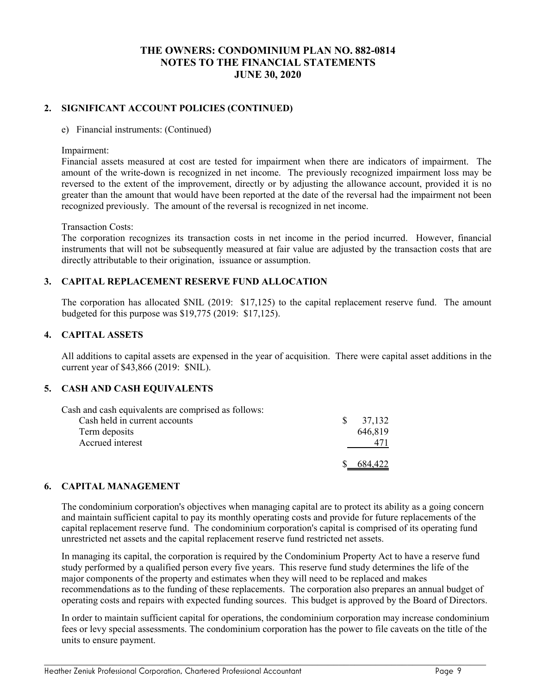### **THE OWNERS: CONDOMINIUM PLAN NO. 882-0814 NOTES TO THE FINANCIAL STATEMENTS JUNE 30, 2020**

### **2. SIGNIFICANT ACCOUNT POLICIES (CONTINUED)**

e) Financial instruments: (Continued)

Impairment:

Financial assets measured at cost are tested for impairment when there are indicators of impairment. The amount of the write-down is recognized in net income. The previously recognized impairment loss may be reversed to the extent of the improvement, directly or by adjusting the allowance account, provided it is no greater than the amount that would have been reported at the date of the reversal had the impairment not been recognized previously. The amount of the reversal is recognized in net income.

Transaction Costs:

The corporation recognizes its transaction costs in net income in the period incurred. However, financial instruments that will not be subsequently measured at fair value are adjusted by the transaction costs that are directly attributable to their origination, issuance or assumption.

#### **3. CAPITAL REPLACEMENT RESERVE FUND ALLOCATION**

The corporation has allocated \$NIL (2019: \$17,125) to the capital replacement reserve fund. The amount budgeted for this purpose was \$19,775 (2019: \$17,125).

#### **4. CAPITAL ASSETS**

All additions to capital assets are expensed in the year of acquisition. There were capital asset additions in the current year of \$43,866 (2019: \$NIL).

### **5. CASH AND CASH EQUIVALENTS**

Cash and cash equivalents are comprised as follows:

| Cash held in current accounts | S. | 37,132  |
|-------------------------------|----|---------|
| Term deposits                 |    | 646,819 |
| Accrued interest              |    |         |
|                               |    | 684.422 |

#### **6. CAPITAL MANAGEMENT**

The condominium corporation's objectives when managing capital are to protect its ability as a going concern and maintain sufficient capital to pay its monthly operating costs and provide for future replacements of the capital replacement reserve fund. The condominium corporation's capital is comprised of its operating fund unrestricted net assets and the capital replacement reserve fund restricted net assets.

In managing its capital, the corporation is required by the Condominium Property Act to have a reserve fund study performed by a qualified person every five years. This reserve fund study determines the life of the major components of the property and estimates when they will need to be replaced and makes recommendations as to the funding of these replacements. The corporation also prepares an annual budget of operating costs and repairs with expected funding sources. This budget is approved by the Board of Directors.

In order to maintain sufficient capital for operations, the condominium corporation may increase condominium fees or levy special assessments. The condominium corporation has the power to file caveats on the title of the units to ensure payment.